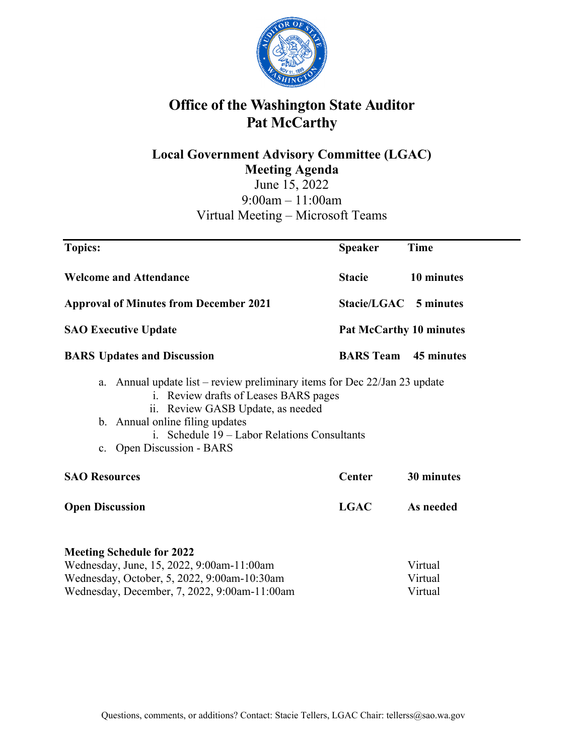

# **Office of the Washington State Auditor Pat McCarthy**

# **Local Government Advisory Committee (LGAC) Meeting Agenda**  June 15, 2022

9:00am – 11:00am Virtual Meeting – Microsoft Teams

| <b>Topics:</b>                                                                                                                                                                                                                                                                                     | <b>Speaker</b> | <b>Time</b>                    |
|----------------------------------------------------------------------------------------------------------------------------------------------------------------------------------------------------------------------------------------------------------------------------------------------------|----------------|--------------------------------|
| <b>Welcome and Attendance</b>                                                                                                                                                                                                                                                                      | <b>Stacie</b>  | 10 minutes                     |
| <b>Approval of Minutes from December 2021</b>                                                                                                                                                                                                                                                      |                | Stacie/LGAC 5 minutes          |
| <b>SAO Executive Update</b>                                                                                                                                                                                                                                                                        |                | <b>Pat McCarthy 10 minutes</b> |
| <b>BARS</b> Updates and Discussion                                                                                                                                                                                                                                                                 |                | <b>BARS Team</b> 45 minutes    |
| Annual update list – review preliminary items for Dec $22/Jan 23$ update<br>a.<br>i. Review drafts of Leases BARS pages<br>ii. Review GASB Update, as needed<br>b. Annual online filing updates<br>i. Schedule 19 – Labor Relations Consultants<br><b>Open Discussion - BARS</b><br>$\mathbf{c}$ . |                |                                |
| <b>SAO Resources</b>                                                                                                                                                                                                                                                                               | Center         | 30 minutes                     |
| <b>Open Discussion</b>                                                                                                                                                                                                                                                                             | <b>LGAC</b>    | As needed                      |
| <b>Meeting Schedule for 2022</b><br>Wednesday, June, 15, 2022, 9:00am-11:00am<br>Wednesday, October, 5, 2022, 9:00am-10:30am                                                                                                                                                                       |                | Virtual<br>Virtual             |
| Wednesday, December, 7, 2022, 9:00am-11:00am                                                                                                                                                                                                                                                       |                | Virtual                        |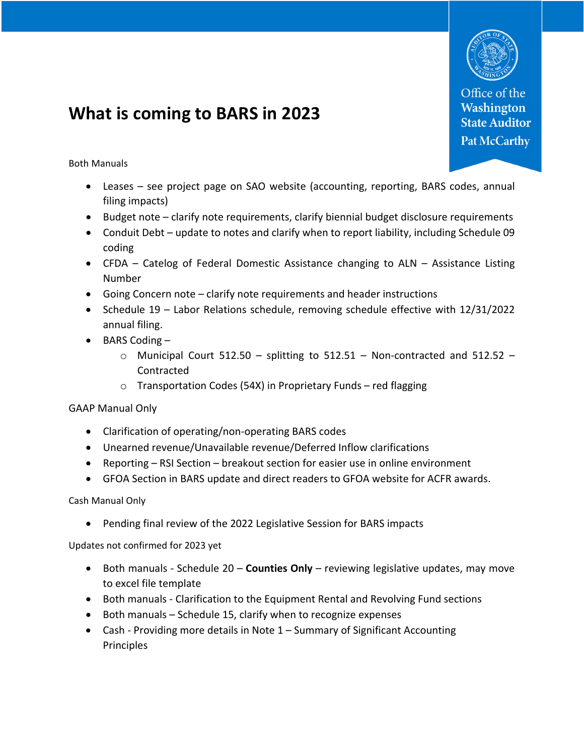

Office of the **Washington State Auditor Pat McCarthy** 

# **What is coming to BARS in 2023**

Both Manuals

- Leases see project page on SAO website (accounting, reporting, BARS codes, annual filing impacts)
- Budget note clarify note requirements, clarify biennial budget disclosure requirements
- Conduit Debt update to notes and clarify when to report liability, including Schedule 09 coding
- CFDA Catelog of Federal Domestic Assistance changing to ALN Assistance Listing Number
- Going Concern note clarify note requirements and header instructions
- Schedule 19 Labor Relations schedule, removing schedule effective with 12/31/2022 annual filing.
- BARS Coding
	- $\circ$  Municipal Court 512.50 splitting to 512.51 Non-contracted and 512.52 Contracted
	- $\circ$  Transportation Codes (54X) in Proprietary Funds red flagging

GAAP Manual Only

- Clarification of operating/non-operating BARS codes
- Unearned revenue/Unavailable revenue/Deferred Inflow clarifications
- Reporting RSI Section breakout section for easier use in online environment
- GFOA Section in BARS update and direct readers to GFOA website for ACFR awards.

Cash Manual Only

Pending final review of the 2022 Legislative Session for BARS impacts

Updates not confirmed for 2023 yet

- Both manuals Schedule 20 **Counties Only** reviewing legislative updates, may move to excel file template
- Both manuals Clarification to the Equipment Rental and Revolving Fund sections
- $\bullet$  Both manuals Schedule 15, clarify when to recognize expenses
- Cash Providing more details in Note 1 Summary of Significant Accounting Principles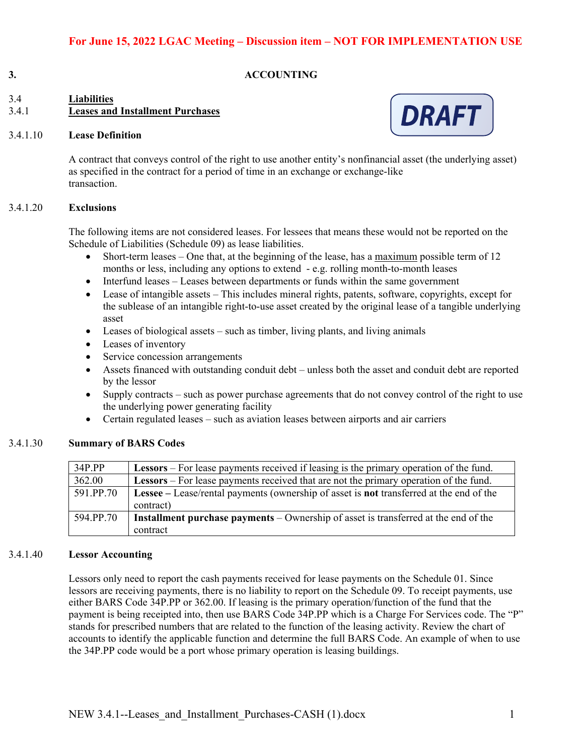#### **3. ACCOUNTING**

# 3.4 **Liabilities**  3.4.1 **Leases and Installment Purchases**

#### 3.4.1.10 **Lease Definition**



A contract that conveys control of the right to use another entity's nonfinancial asset (the underlying asset) as specified in the contract for a period of time in an exchange or exchange-like transaction.

#### 3.4.1.20 **Exclusions**

The following items are not considered leases. For lessees that means these would not be reported on the Schedule of Liabilities (Schedule 09) as lease liabilities.

- Short-term leases One that, at the beginning of the lease, has a maximum possible term of 12 months or less, including any options to extend - e.g. rolling month-to-month leases
- Interfund leases Leases between departments or funds within the same government
- Lease of intangible assets This includes mineral rights, patents, software, copyrights, except for the sublease of an intangible right-to-use asset created by the original lease of a tangible underlying asset
- $\bullet$  Leases of biological assets such as timber, living plants, and living animals
- Leases of inventory
- Service concession arrangements
- Assets financed with outstanding conduit debt unless both the asset and conduit debt are reported by the lessor
- Supply contracts such as power purchase agreements that do not convey control of the right to use the underlying power generating facility
- Certain regulated leases such as aviation leases between airports and air carriers

#### 3.4.1.30 **Summary of BARS Codes**

| 34P.PP    | <b>Lessors</b> – For lease payments received if leasing is the primary operation of the fund.         |
|-----------|-------------------------------------------------------------------------------------------------------|
| 362.00    | <b>Lessors</b> – For lease payments received that are not the primary operation of the fund.          |
| 591.PP.70 | <b>Lessee</b> – Lease/rental payments (ownership of asset is <b>not</b> transferred at the end of the |
|           | contract)                                                                                             |
| 594.PP.70 | <b>Installment purchase payments</b> – Ownership of asset is transferred at the end of the            |
|           | contract                                                                                              |

#### 3.4.1.40 **Lessor Accounting**

Lessors only need to report the cash payments received for lease payments on the Schedule 01. Since lessors are receiving payments, there is no liability to report on the Schedule 09. To receipt payments, use either BARS Code 34P.PP or 362.00. If leasing is the primary operation/function of the fund that the payment is being receipted into, then use BARS Code 34P.PP which is a Charge For Services code. The "P" stands for prescribed numbers that are related to the function of the leasing activity. Review the chart of accounts to identify the applicable function and determine the full BARS Code. An example of when to use the 34P.PP code would be a port whose primary operation is leasing buildings.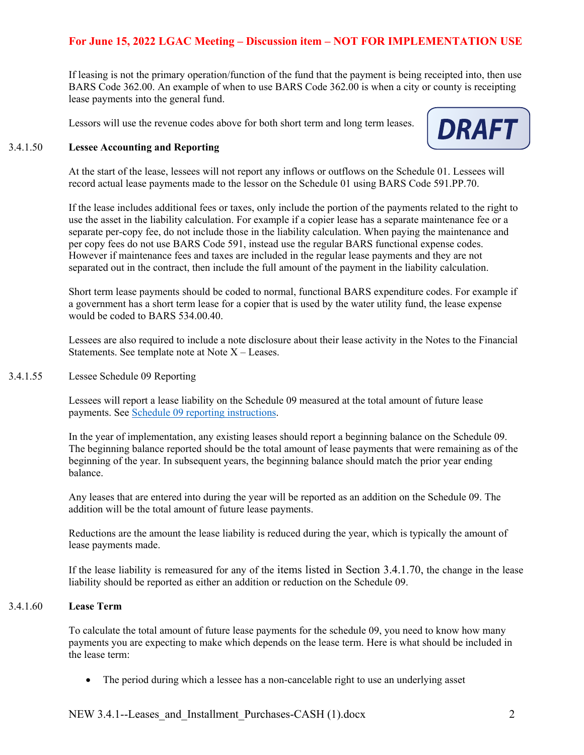If leasing is not the primary operation/function of the fund that the payment is being receipted into, then use BARS Code 362.00. An example of when to use BARS Code 362.00 is when a city or county is receipting lease payments into the general fund.

Lessors will use the revenue codes above for both short term and long term leases.



#### 3.4.1.50 **Lessee Accounting and Reporting**

At the start of the lease, lessees will not report any inflows or outflows on the Schedule 01. Lessees will record actual lease payments made to the lessor on the Schedule 01 using BARS Code 591.PP.70.

If the lease includes additional fees or taxes, only include the portion of the payments related to the right to use the asset in the liability calculation. For example if a copier lease has a separate maintenance fee or a separate per-copy fee, do not include those in the liability calculation. When paying the maintenance and per copy fees do not use BARS Code 591, instead use the regular BARS functional expense codes. However if maintenance fees and taxes are included in the regular lease payments and they are not separated out in the contract, then include the full amount of the payment in the liability calculation.

Short term lease payments should be coded to normal, functional BARS expenditure codes. For example if a government has a short term lease for a copier that is used by the water utility fund, the lease expense would be coded to BARS 534.00.40.

Lessees are also required to include a note disclosure about their lease activity in the Notes to the Financial Statements. See template note at Note  $X -$  Leases.

3.4.1.55 Lessee Schedule 09 Reporting

Lessees will report a lease liability on the Schedule 09 measured at the total amount of future lease payments. See Schedule 09 reporting instructions.

In the year of implementation, any existing leases should report a beginning balance on the Schedule 09. The beginning balance reported should be the total amount of lease payments that were remaining as of the beginning of the year. In subsequent years, the beginning balance should match the prior year ending balance.

Any leases that are entered into during the year will be reported as an addition on the Schedule 09. The addition will be the total amount of future lease payments.

Reductions are the amount the lease liability is reduced during the year, which is typically the amount of lease payments made.

If the lease liability is remeasured for any of the items listed in Section 3.4.1.70, the change in the lease liability should be reported as either an addition or reduction on the Schedule 09.

#### 3.4.1.60 **Lease Term**

To calculate the total amount of future lease payments for the schedule 09, you need to know how many payments you are expecting to make which depends on the lease term. Here is what should be included in the lease term:

The period during which a lessee has a non-cancelable right to use an underlying asset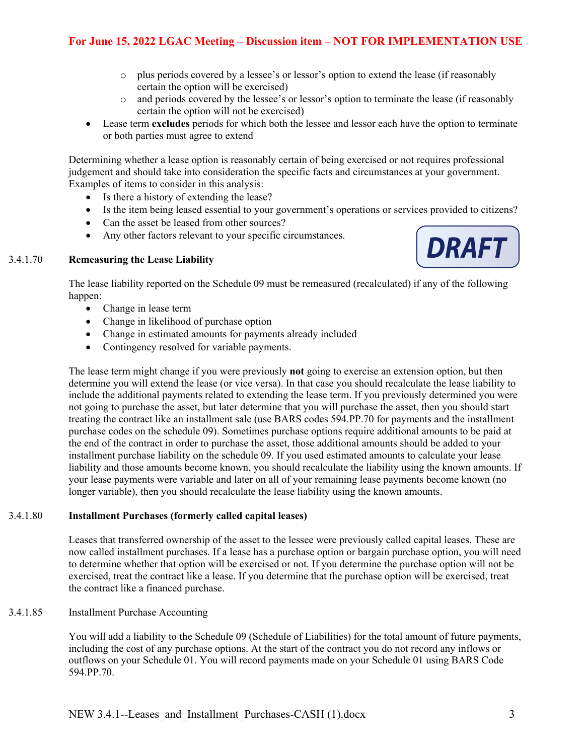- o plus periods covered by a lessee's or lessor's option to extend the lease (if reasonably certain the option will be exercised)
- o and periods covered by the lessee's or lessor's option to terminate the lease (if reasonably certain the option will not be exercised)
- Lease term **excludes** periods for which both the lessee and lessor each have the option to terminate or both parties must agree to extend

Determining whether a lease option is reasonably certain of being exercised or not requires professional judgement and should take into consideration the specific facts and circumstances at your government. Examples of items to consider in this analysis:

- Is there a history of extending the lease?
- Is the item being leased essential to your government's operations or services provided to citizens?
- Can the asset be leased from other sources?
- Any other factors relevant to your specific circumstances.

#### 3.4.1.70 **Remeasuring the Lease Liability**



The lease liability reported on the Schedule 09 must be remeasured (recalculated) if any of the following happen:

- Change in lease term
- Change in likelihood of purchase option
- Change in estimated amounts for payments already included
- Contingency resolved for variable payments.

The lease term might change if you were previously **not** going to exercise an extension option, but then determine you will extend the lease (or vice versa). In that case you should recalculate the lease liability to include the additional payments related to extending the lease term. If you previously determined you were not going to purchase the asset, but later determine that you will purchase the asset, then you should start treating the contract like an installment sale (use BARS codes 594.PP.70 for payments and the installment purchase codes on the schedule 09). Sometimes purchase options require additional amounts to be paid at the end of the contract in order to purchase the asset, those additional amounts should be added to your installment purchase liability on the schedule 09. If you used estimated amounts to calculate your lease liability and those amounts become known, you should recalculate the liability using the known amounts. If your lease payments were variable and later on all of your remaining lease payments become known (no longer variable), then you should recalculate the lease liability using the known amounts.

#### 3.4.1.80 **Installment Purchases (formerly called capital leases)**

Leases that transferred ownership of the asset to the lessee were previously called capital leases. These are now called installment purchases. If a lease has a purchase option or bargain purchase option, you will need to determine whether that option will be exercised or not. If you determine the purchase option will not be exercised, treat the contract like a lease. If you determine that the purchase option will be exercised, treat the contract like a financed purchase.

#### 3.4.1.85 Installment Purchase Accounting

You will add a liability to the Schedule 09 (Schedule of Liabilities) for the total amount of future payments, including the cost of any purchase options. At the start of the contract you do not record any inflows or outflows on your Schedule 01. You will record payments made on your Schedule 01 using BARS Code 594.PP.70.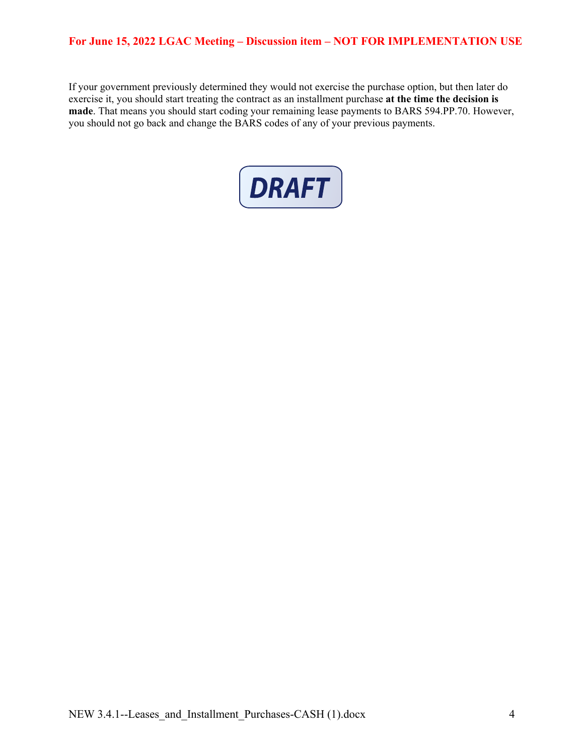If your government previously determined they would not exercise the purchase option, but then later do exercise it, you should start treating the contract as an installment purchase **at the time the decision is made**. That means you should start coding your remaining lease payments to BARS 594.PP.70. However, you should not go back and change the BARS codes of any of your previous payments.

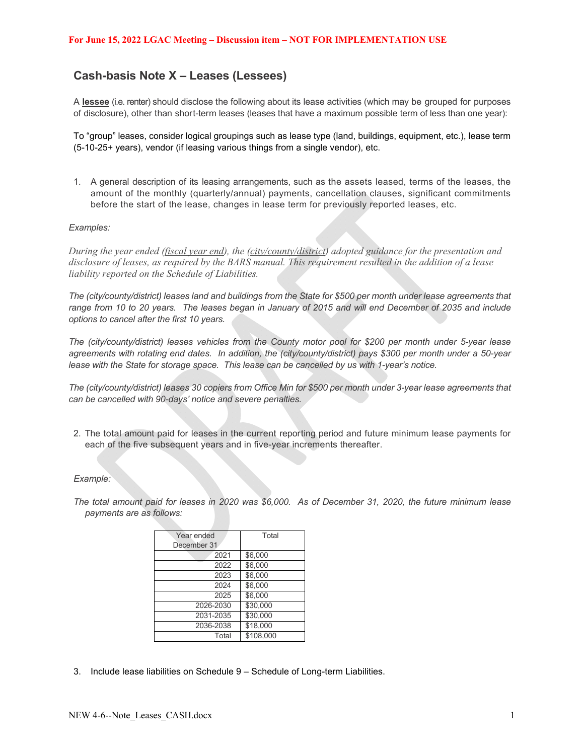# **Cash-basis Note X – Leases (Lessees)**

A **lessee** (i.e. renter) should disclose the following about its lease activities (which may be grouped for purposes of disclosure), other than short-term leases (leases that have a maximum possible term of less than one year):

To "group" leases, consider logical groupings such as lease type (land, buildings, equipment, etc.), lease term (5-10-25+ years), vendor (if leasing various things from a single vendor), etc.

1. A general description of its leasing arrangements, such as the assets leased, terms of the leases, the amount of the monthly (quarterly/annual) payments, cancellation clauses, significant commitments before the start of the lease, changes in lease term for previously reported leases, etc.

#### *Examples:*

*During the year ended (fiscal year end), the (city/county/district) adopted guidance for the presentation and disclosure of leases, as required by the BARS manual. This requirement resulted in the addition of a lease liability reported on the Schedule of Liabilities.* 

*The (city/county/district) leases land and buildings from the State for \$500 per month under lease agreements that range from 10 to 20 years. The leases began in January of 2015 and will end December of 2035 and include options to cancel after the first 10 years.* 

*The (city/county/district) leases vehicles from the County motor pool for \$200 per month under 5-year lease agreements with rotating end dates. In addition, the (city/county/district) pays \$300 per month under a 50-year lease with the State for storage space. This lease can be cancelled by us with 1-year's notice.* 

*The (city/county/district) leases 30 copiers from Office Min for \$500 per month under 3-year lease agreements that can be cancelled with 90-days' notice and severe penalties.* 

2. The total amount paid for leases in the current reporting period and future minimum lease payments for each of the five subsequent years and in five-year increments thereafter.

#### *Example:*

*The total amount paid for leases in 2020 was \$6,000. As of December 31, 2020, the future minimum lease payments are as follows:* 

| Year ended  | Total     |
|-------------|-----------|
| December 31 |           |
| 2021        | \$6,000   |
| 2022        | \$6,000   |
| 2023        | \$6,000   |
| 2024        | \$6,000   |
| 2025        | \$6,000   |
| 2026-2030   | \$30,000  |
| 2031-2035   | \$30.000  |
| 2036-2038   | \$18,000  |
| Total       | \$108.000 |

3. Include lease liabilities on Schedule 9 – Schedule of Long-term Liabilities.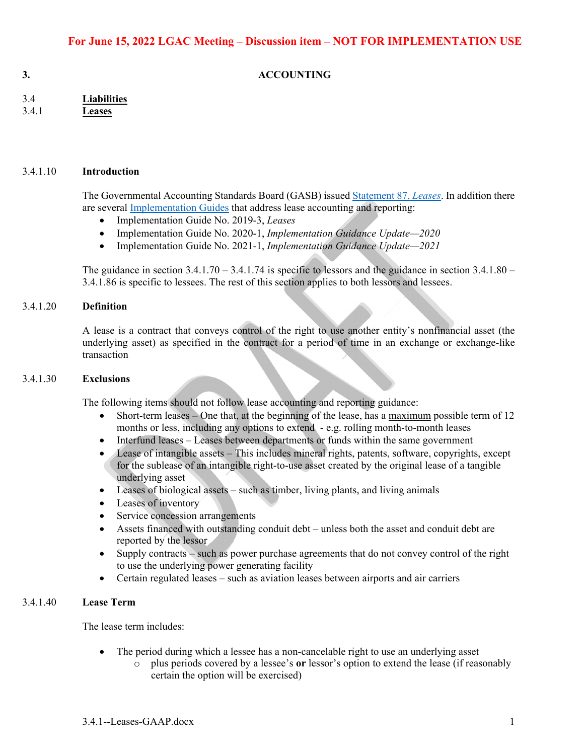**3. ACCOUNTING** 

| 3.4   | <b>Liabilities</b> |
|-------|--------------------|
| 3.4.1 | <b>Leases</b>      |

#### 3.4.1.10 **Introduction**

The Governmental Accounting Standards Board (GASB) issued Statement 87, *Leases*. In addition there are several Implementation Guides that address lease accounting and reporting:

- Implementation Guide No. 2019-3, *Leases*
- Implementation Guide No. 2020-1, *Implementation Guidance Update—2020*
- Implementation Guide No. 2021-1, *Implementation Guidance Update—2021*

The guidance in section  $3.4.1.70 - 3.4.1.74$  is specific to lessors and the guidance in section  $3.4.1.80 -$ 3.4.1.86 is specific to lessees. The rest of this section applies to both lessors and lessees.

#### 3.4.1.20 **Definition**

A lease is a contract that conveys control of the right to use another entity's nonfinancial asset (the underlying asset) as specified in the contract for a period of time in an exchange or exchange-like transaction

#### 3.4.1.30 **Exclusions**

The following items should not follow lease accounting and reporting guidance:

- Short-term leases One that, at the beginning of the lease, has a maximum possible term of 12 months or less, including any options to extend - e.g. rolling month-to-month leases
- Interfund leases Leases between departments or funds within the same government
- Lease of intangible assets This includes mineral rights, patents, software, copyrights, except for the sublease of an intangible right-to-use asset created by the original lease of a tangible underlying asset
- Leases of biological assets such as timber, living plants, and living animals
- Leases of inventory
- Service concession arrangements
- Assets financed with outstanding conduit debt unless both the asset and conduit debt are reported by the lessor
- Supply contracts such as power purchase agreements that do not convey control of the right to use the underlying power generating facility
- Certain regulated leases such as aviation leases between airports and air carriers

#### 3.4.1.40 **Lease Term**

The lease term includes:

- The period during which a lessee has a non-cancelable right to use an underlying asset
	- o plus periods covered by a lessee's **or** lessor's option to extend the lease (if reasonably certain the option will be exercised)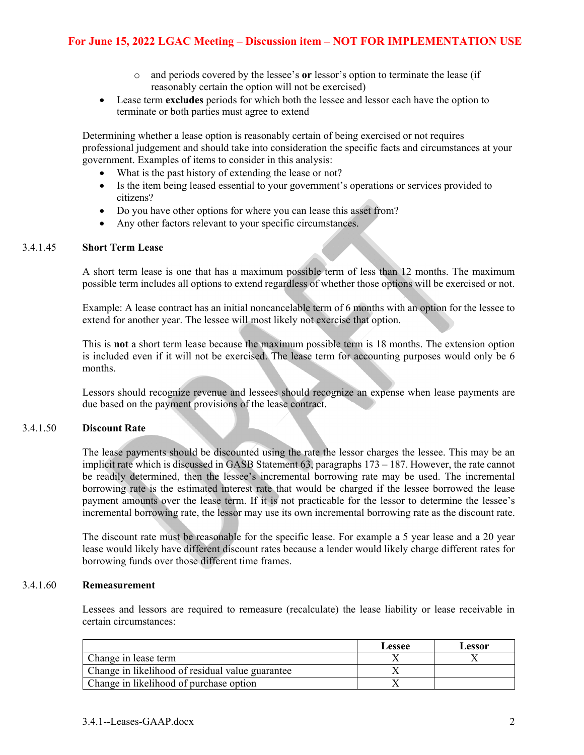- o and periods covered by the lessee's **or** lessor's option to terminate the lease (if reasonably certain the option will not be exercised)
- Lease term **excludes** periods for which both the lessee and lessor each have the option to terminate or both parties must agree to extend

Determining whether a lease option is reasonably certain of being exercised or not requires professional judgement and should take into consideration the specific facts and circumstances at your government. Examples of items to consider in this analysis:

- What is the past history of extending the lease or not?
- Is the item being leased essential to your government's operations or services provided to citizens?
- Do you have other options for where you can lease this asset from?
- Any other factors relevant to your specific circumstances.

#### 3.4.1.45 **Short Term Lease**

A short term lease is one that has a maximum possible term of less than 12 months. The maximum possible term includes all options to extend regardless of whether those options will be exercised or not.

Example: A lease contract has an initial noncancelable term of 6 months with an option for the lessee to extend for another year. The lessee will most likely not exercise that option.

This is **not** a short term lease because the maximum possible term is 18 months. The extension option is included even if it will not be exercised. The lease term for accounting purposes would only be 6 months.

Lessors should recognize revenue and lessees should recognize an expense when lease payments are due based on the payment provisions of the lease contract.

#### 3.4.1.50 **Discount Rate**

The lease payments should be discounted using the rate the lessor charges the lessee. This may be an implicit rate which is discussed in GASB Statement 63, paragraphs 173 – 187. However, the rate cannot be readily determined, then the lessee's incremental borrowing rate may be used. The incremental borrowing rate is the estimated interest rate that would be charged if the lessee borrowed the lease payment amounts over the lease term. If it is not practicable for the lessor to determine the lessee's incremental borrowing rate, the lessor may use its own incremental borrowing rate as the discount rate.

The discount rate must be reasonable for the specific lease. For example a 5 year lease and a 20 year lease would likely have different discount rates because a lender would likely charge different rates for borrowing funds over those different time frames.

#### 3.4.1.60 **Remeasurement**

Lessees and lessors are required to remeasure (recalculate) the lease liability or lease receivable in certain circumstances:

|                                                  | Lessee | Lessor |
|--------------------------------------------------|--------|--------|
| Change in lease term                             |        |        |
| Change in likelihood of residual value guarantee |        |        |
| Change in likelihood of purchase option          |        |        |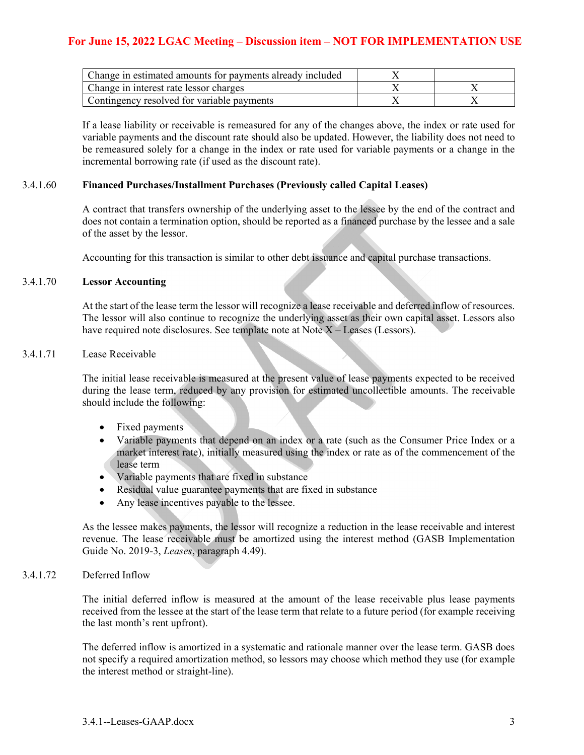| Change in estimated amounts for payments already included |  |
|-----------------------------------------------------------|--|
| Change in interest rate lessor charges                    |  |
| Contingency resolved for variable payments                |  |

If a lease liability or receivable is remeasured for any of the changes above, the index or rate used for variable payments and the discount rate should also be updated. However, the liability does not need to be remeasured solely for a change in the index or rate used for variable payments or a change in the incremental borrowing rate (if used as the discount rate).

#### 3.4.1.60 **Financed Purchases/Installment Purchases (Previously called Capital Leases)**

A contract that transfers ownership of the underlying asset to the lessee by the end of the contract and does not contain a termination option, should be reported as a financed purchase by the lessee and a sale of the asset by the lessor.

Accounting for this transaction is similar to other debt issuance and capital purchase transactions.

#### 3.4.1.70 **Lessor Accounting**

At the start of the lease term the lessor will recognize a lease receivable and deferred inflow of resources. The lessor will also continue to recognize the underlying asset as their own capital asset. Lessors also have required note disclosures. See template note at Note X – Leases (Lessors).

#### 3.4.1.71 Lease Receivable

The initial lease receivable is measured at the present value of lease payments expected to be received during the lease term, reduced by any provision for estimated uncollectible amounts. The receivable should include the following:

- Fixed payments
- Variable payments that depend on an index or a rate (such as the Consumer Price Index or a market interest rate), initially measured using the index or rate as of the commencement of the lease term
- Variable payments that are fixed in substance
- Residual value guarantee payments that are fixed in substance
- Any lease incentives payable to the lessee.

As the lessee makes payments, the lessor will recognize a reduction in the lease receivable and interest revenue. The lease receivable must be amortized using the interest method (GASB Implementation Guide No. 2019-3, *Leases*, paragraph 4.49).

#### 3.4.1.72 Deferred Inflow

The initial deferred inflow is measured at the amount of the lease receivable plus lease payments received from the lessee at the start of the lease term that relate to a future period (for example receiving the last month's rent upfront).

The deferred inflow is amortized in a systematic and rationale manner over the lease term. GASB does not specify a required amortization method, so lessors may choose which method they use (for example the interest method or straight-line).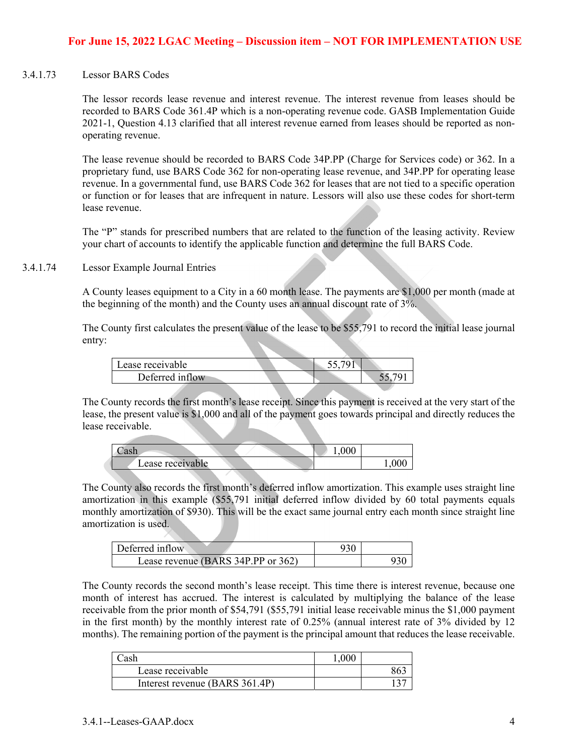#### 3.4.1.73 Lessor BARS Codes

The lessor records lease revenue and interest revenue. The interest revenue from leases should be recorded to BARS Code 361.4P which is a non-operating revenue code. GASB Implementation Guide 2021-1, Question 4.13 clarified that all interest revenue earned from leases should be reported as nonoperating revenue.

The lease revenue should be recorded to BARS Code 34P.PP (Charge for Services code) or 362. In a proprietary fund, use BARS Code 362 for non-operating lease revenue, and 34P.PP for operating lease revenue. In a governmental fund, use BARS Code 362 for leases that are not tied to a specific operation or function or for leases that are infrequent in nature. Lessors will also use these codes for short-term lease revenue.

The "P" stands for prescribed numbers that are related to the function of the leasing activity. Review your chart of accounts to identify the applicable function and determine the full BARS Code.

#### 3.4.1.74 Lessor Example Journal Entries

A County leases equipment to a City in a 60 month lease. The payments are \$1,000 per month (made at the beginning of the month) and the County uses an annual discount rate of 3%.

The County first calculates the present value of the lease to be \$55,791 to record the initial lease journal entry:

| Lease receivable |  |  |  |
|------------------|--|--|--|
| Deferred inflow  |  |  |  |
|                  |  |  |  |

The County records the first month's lease receipt. Since this payment is received at the very start of the lease, the present value is \$1,000 and all of the payment goes towards principal and directly reduces the lease receivable.

|                  | 000.1 |  |
|------------------|-------|--|
| Lease receivable |       |  |

The County also records the first month's deferred inflow amortization. This example uses straight line amortization in this example (\$55,791 initial deferred inflow divided by 60 total payments equals monthly amortization of \$930). This will be the exact same journal entry each month since straight line amortization is used.

| Deferred inflow                    |  |
|------------------------------------|--|
| Lease revenue (BARS 34P.PP or 362) |  |

The County records the second month's lease receipt. This time there is interest revenue, because one month of interest has accrued. The interest is calculated by multiplying the balance of the lease receivable from the prior month of \$54,791 (\$55,791 initial lease receivable minus the \$1,000 payment in the first month) by the monthly interest rate of 0.25% (annual interest rate of 3% divided by 12 months). The remaining portion of the payment is the principal amount that reduces the lease receivable.

| nek                            |  |
|--------------------------------|--|
| Lease receivable               |  |
| Interest revenue (BARS 361.4P) |  |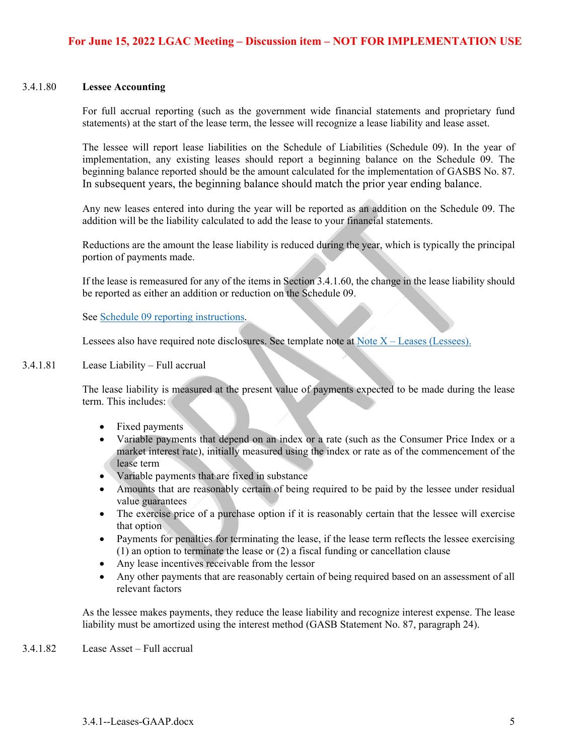#### 3.4.1.80 **Lessee Accounting**

For full accrual reporting (such as the government wide financial statements and proprietary fund statements) at the start of the lease term, the lessee will recognize a lease liability and lease asset.

The lessee will report lease liabilities on the Schedule of Liabilities (Schedule 09). In the year of implementation, any existing leases should report a beginning balance on the Schedule 09. The beginning balance reported should be the amount calculated for the implementation of GASBS No. 87. In subsequent years, the beginning balance should match the prior year ending balance.

Any new leases entered into during the year will be reported as an addition on the Schedule 09. The addition will be the liability calculated to add the lease to your financial statements.

Reductions are the amount the lease liability is reduced during the year, which is typically the principal portion of payments made.

If the lease is remeasured for any of the items in Section 3.4.1.60, the change in the lease liability should be reported as either an addition or reduction on the Schedule 09.

See Schedule 09 reporting instructions.

Lessees also have required note disclosures. See template note at Note  $X -$  Leases (Lessees).

#### 3.4.1.81 Lease Liability – Full accrual

The lease liability is measured at the present value of payments expected to be made during the lease term. This includes:

- Fixed payments
- Variable payments that depend on an index or a rate (such as the Consumer Price Index or a market interest rate), initially measured using the index or rate as of the commencement of the lease term
- Variable payments that are fixed in substance
- Amounts that are reasonably certain of being required to be paid by the lessee under residual value guarantees
- The exercise price of a purchase option if it is reasonably certain that the lessee will exercise that option
- Payments for penalties for terminating the lease, if the lease term reflects the lessee exercising (1) an option to terminate the lease or (2) a fiscal funding or cancellation clause
- Any lease incentives receivable from the lessor
- Any other payments that are reasonably certain of being required based on an assessment of all relevant factors

As the lessee makes payments, they reduce the lease liability and recognize interest expense. The lease liability must be amortized using the interest method (GASB Statement No. 87, paragraph 24).

3.4.1.82 Lease Asset – Full accrual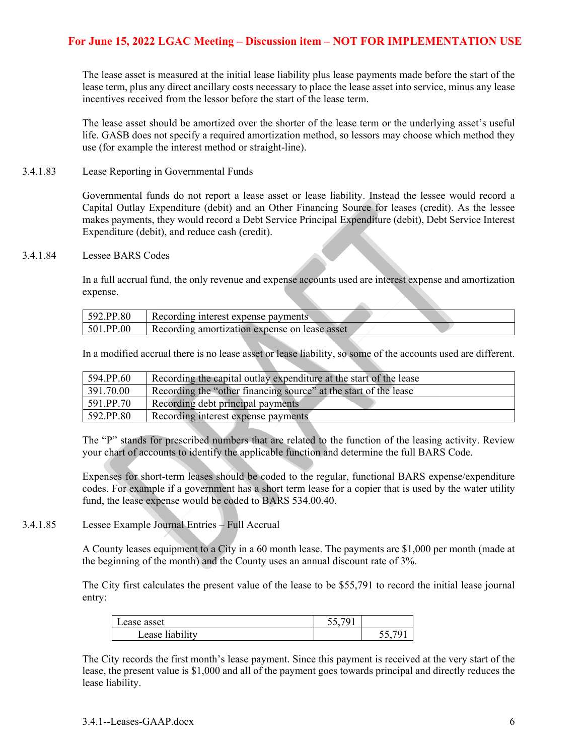The lease asset is measured at the initial lease liability plus lease payments made before the start of the lease term, plus any direct ancillary costs necessary to place the lease asset into service, minus any lease incentives received from the lessor before the start of the lease term.

The lease asset should be amortized over the shorter of the lease term or the underlying asset's useful life. GASB does not specify a required amortization method, so lessors may choose which method they use (for example the interest method or straight-line).

3.4.1.83 Lease Reporting in Governmental Funds

Governmental funds do not report a lease asset or lease liability. Instead the lessee would record a Capital Outlay Expenditure (debit) and an Other Financing Source for leases (credit). As the lessee makes payments, they would record a Debt Service Principal Expenditure (debit), Debt Service Interest Expenditure (debit), and reduce cash (credit).

3.4.1.84 Lessee BARS Codes

In a full accrual fund, the only revenue and expense accounts used are interest expense and amortization expense.

| 592.PP.80 | Recording interest expense payments           |  |
|-----------|-----------------------------------------------|--|
| 501.PP.00 | Recording amortization expense on lease asset |  |

A.

In a modified accrual there is no lease asset or lease liability, so some of the accounts used are different.

| 594.PP.60 | Recording the capital outlay expenditure at the start of the lease |
|-----------|--------------------------------------------------------------------|
| 391.70.00 | Recording the "other financing source" at the start of the lease   |
| 591.PP.70 | Recording debt principal payments                                  |
| 592.PP.80 | Recording interest expense payments                                |

The "P" stands for prescribed numbers that are related to the function of the leasing activity. Review your chart of accounts to identify the applicable function and determine the full BARS Code.

Expenses for short-term leases should be coded to the regular, functional BARS expense/expenditure codes. For example if a government has a short term lease for a copier that is used by the water utility fund, the lease expense would be coded to BARS 534.00.40.

3.4.1.85 Lessee Example Journal Entries – Full Accrual

A County leases equipment to a City in a 60 month lease. The payments are \$1,000 per month (made at the beginning of the month) and the County uses an annual discount rate of 3%.

The City first calculates the present value of the lease to be \$55,791 to record the initial lease journal entry:

| Lease asset    | 55.701<br>◡◡• |          |
|----------------|---------------|----------|
| ease liability |               | 7G.<br>ັ |

The City records the first month's lease payment. Since this payment is received at the very start of the lease, the present value is \$1,000 and all of the payment goes towards principal and directly reduces the lease liability.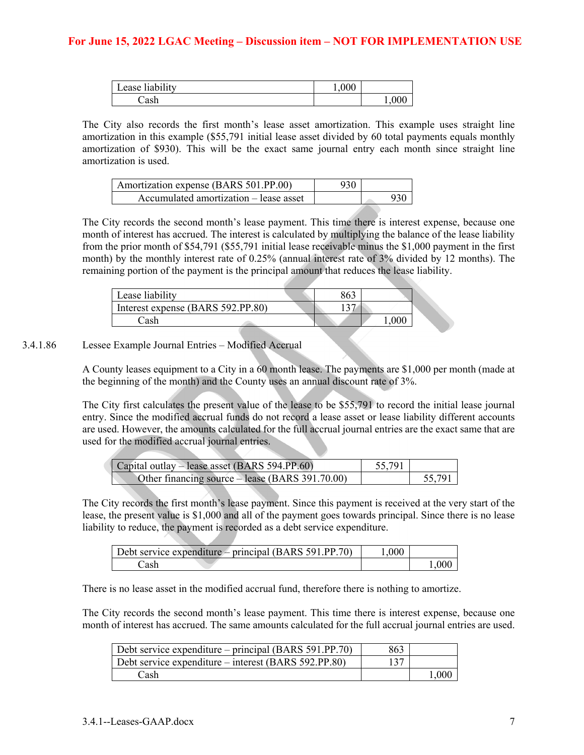| <br>$\cdots$<br>ease hability | 0.0011 |     |
|-------------------------------|--------|-----|
| `ac h                         |        | 1,0 |

The City also records the first month's lease asset amortization. This example uses straight line amortization in this example (\$55,791 initial lease asset divided by 60 total payments equals monthly amortization of \$930). This will be the exact same journal entry each month since straight line amortization is used.

| Amortization expense (BARS 501.PP.00)  |  |  |
|----------------------------------------|--|--|
| Accumulated amortization – lease asset |  |  |

The City records the second month's lease payment. This time there is interest expense, because one month of interest has accrued. The interest is calculated by multiplying the balance of the lease liability from the prior month of \$54,791 (\$55,791 initial lease receivable minus the \$1,000 payment in the first month) by the monthly interest rate of 0.25% (annual interest rate of 3% divided by 12 months). The remaining portion of the payment is the principal amount that reduces the lease liability.

| Lease liabilitv                   |  |  |
|-----------------------------------|--|--|
| Interest expense (BARS 592.PP.80) |  |  |
| ا ہ ہ'                            |  |  |

#### 3.4.1.86 Lessee Example Journal Entries – Modified Accrual

A County leases equipment to a City in a 60 month lease. The payments are \$1,000 per month (made at the beginning of the month) and the County uses an annual discount rate of 3%.

The City first calculates the present value of the lease to be \$55,791 to record the initial lease journal entry. Since the modified accrual funds do not record a lease asset or lease liability different accounts are used. However, the amounts calculated for the full accrual journal entries are the exact same that are used for the modified accrual journal entries.

| Capital outlay – lease asset (BARS 594.PP.60)   | 55,791 |        |
|-------------------------------------------------|--------|--------|
| Other financing source – lease (BARS 391.70.00) |        | 55,791 |

The City records the first month's lease payment. Since this payment is received at the very start of the lease, the present value is \$1,000 and all of the payment goes towards principal. Since there is no lease liability to reduce, the payment is recorded as a debt service expenditure.

| Debt service expenditure – principal (BARS 591.PP.70) | .000 |      |
|-------------------------------------------------------|------|------|
| ∠ash                                                  |      | .000 |

There is no lease asset in the modified accrual fund, therefore there is nothing to amortize.

The City records the second month's lease payment. This time there is interest expense, because one month of interest has accrued. The same amounts calculated for the full accrual journal entries are used.

| Debt service expenditure – principal (BARS 591.PP.70) | 863 |      |
|-------------------------------------------------------|-----|------|
| Debt service expenditure – interest (BARS 592.PP.80)  |     |      |
| Cash                                                  |     | .000 |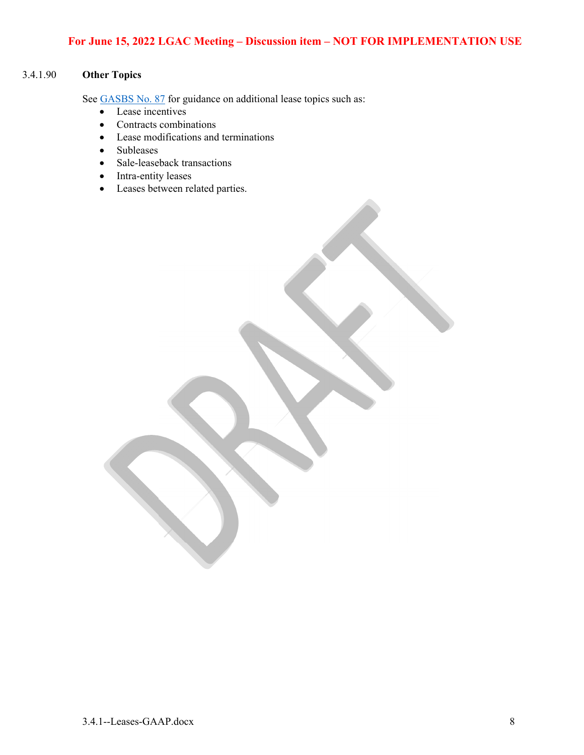# 3.4.1.90 **Other Topics**

See GASBS No. 87 for guidance on additional lease topics such as:

- Lease incentives
- Contracts combinations
- Lease modifications and terminations
- Subleases
- Sale-leaseback transactions
- Intra-entity leases
- Leases between related parties.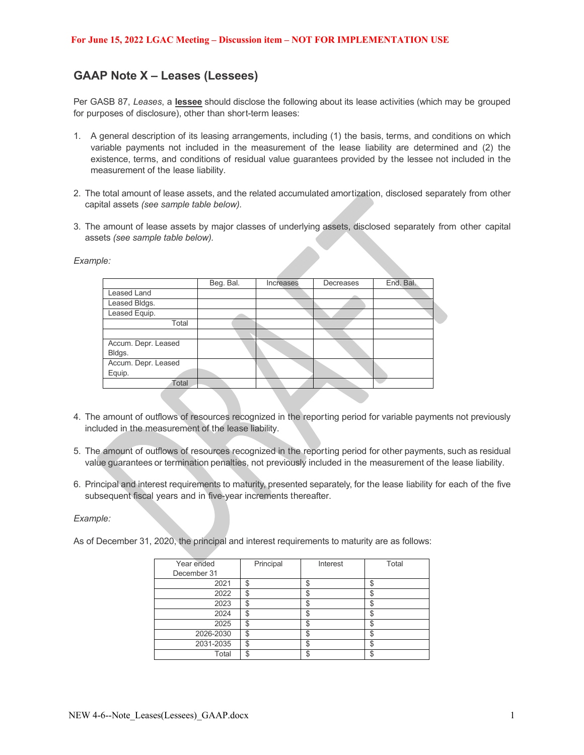# **GAAP Note X – Leases (Lessees)**

Per GASB 87, *Leases*, a **lessee** should disclose the following about its lease activities (which may be grouped for purposes of disclosure), other than short-term leases:

- 1. A general description of its leasing arrangements, including (1) the basis, terms, and conditions on which variable payments not included in the measurement of the lease liability are determined and (2) the existence, terms, and conditions of residual value guarantees provided by the lessee not included in the measurement of the lease liability.
- 2. The total amount of lease assets, and the related accumulated amortization, disclosed separately from other capital assets *(see sample table below).*
- 3. The amount of lease assets by major classes of underlying assets, disclosed separately from other capital assets *(see sample table below).*

*Example:* 

|                     | Beg. Bal. | Increases | Decreases | End. Bal. |
|---------------------|-----------|-----------|-----------|-----------|
| Leased Land         |           |           |           |           |
| Leased Bldgs.       |           |           |           |           |
| Leased Equip.       |           |           |           |           |
| Total               |           |           |           |           |
|                     |           |           |           |           |
| Accum. Depr. Leased |           |           |           |           |
| Bldgs.              |           |           |           |           |
| Accum. Depr. Leased |           |           |           |           |
| Equip.              |           |           |           |           |
| Total               |           |           |           |           |
|                     |           |           |           |           |

- 4. The amount of outflows of resources recognized in the reporting period for variable payments not previously included in the measurement of the lease liability.
- 5. The amount of outflows of resources recognized in the reporting period for other payments, such as residual value guarantees or termination penalties, not previously included in the measurement of the lease liability.
- 6. Principal and interest requirements to maturity, presented separately, for the lease liability for each of the five subsequent fiscal years and in five-year increments thereafter.

*Example:* 

As of December 31, 2020, the principal and interest requirements to maturity are as follows:

| Year ended  | Principal | Interest | Total |
|-------------|-----------|----------|-------|
| December 31 |           |          |       |
| 2021        | \$        |          |       |
| 2022        |           | ۰D       |       |
| 2023        | c         |          |       |
| 2024        | c         |          |       |
| 2025        |           |          |       |
| 2026-2030   | σ         | ง        |       |
| 2031-2035   | ጦ         |          |       |
| Total       |           |          |       |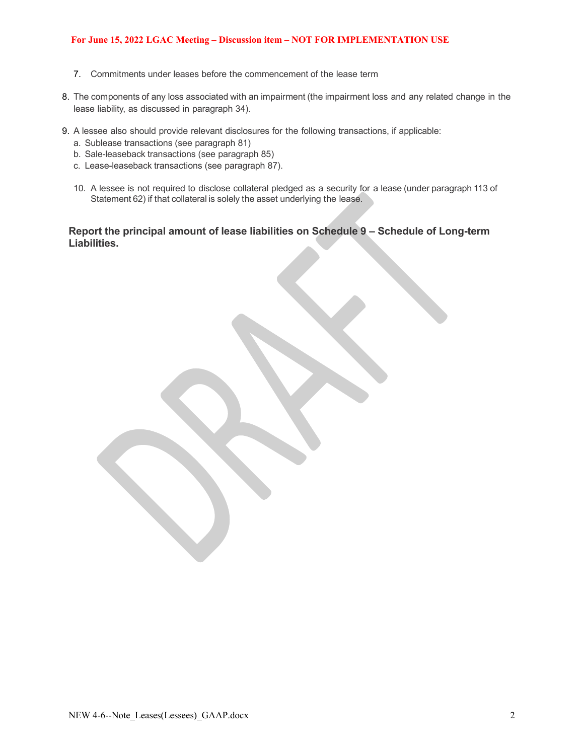- 7. Commitments under leases before the commencement of the lease term
- 8. The components of any loss associated with an impairment (the impairment loss and any related change in the lease liability, as discussed in paragraph 34).
- 9. A lessee also should provide relevant disclosures for the following transactions, if applicable:
	- a. Sublease transactions (see paragraph 81)
	- b. Sale-leaseback transactions (see paragraph 85)
	- c. Lease-leaseback transactions (see paragraph 87).
	- 10. A lessee is not required to disclose collateral pledged as a security for a lease (under paragraph 113 of Statement 62) if that collateral is solely the asset underlying the lease.

#### **Report the principal amount of lease liabilities on Schedule 9 – Schedule of Long-term Liabilities.**

NEW 4-6--Note Leases(Lessees) GAAP.docx 2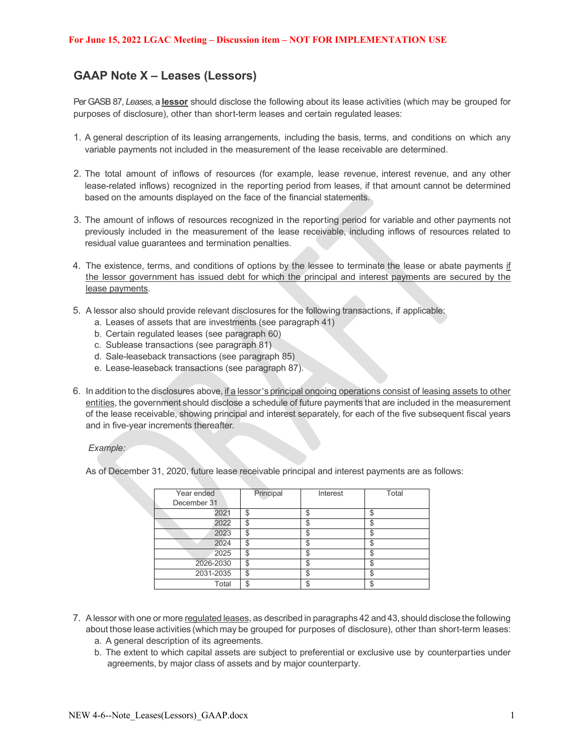# **GAAP Note X – Leases (Lessors)**

Per GASB 87, *Leases*, a **lessor** should disclose the following about its lease activities (which may be grouped for purposes of disclosure), other than short-term leases and certain regulated leases:

- 1. A general description of its leasing arrangements, including the basis, terms, and conditions on which any variable payments not included in the measurement of the lease receivable are determined.
- 2. The total amount of inflows of resources (for example, lease revenue, interest revenue, and any other lease-related inflows) recognized in the reporting period from leases, if that amount cannot be determined based on the amounts displayed on the face of the financial statements.
- 3. The amount of inflows of resources recognized in the reporting period for variable and other payments not previously included in the measurement of the lease receivable, including inflows of resources related to residual value guarantees and termination penalties.
- 4. The existence, terms, and conditions of options by the lessee to terminate the lease or abate payments if the lessor government has issued debt for which the principal and interest payments are secured by the lease payments.
- 5. A lessor also should provide relevant disclosures for the following transactions, if applicable:
	- a. Leases of assets that are investments (see paragraph 41)
	- b. Certain regulated leases (see paragraph 60)
	- c. Sublease transactions (see paragraph 81)
	- d. Sale-leaseback transactions (see paragraph 85)
	- e. Lease-leaseback transactions (see paragraph 87).
- 6. In addition to the disclosures above, if a lessor's principal ongoing operations consist of leasing assets to other entities, the government should disclose a schedule of future payments that are included in the measurement of the lease receivable, showing principal and interest separately, for each of the five subsequent fiscal years and in five-year increments thereafter.

#### *Example:*

As of December 31, 2020, future lease receivable principal and interest payments are as follows:

| Year ended  | Principal | Interest | Total |
|-------------|-----------|----------|-------|
| December 31 |           |          |       |
| 2021        | Φ         | ۰D       |       |
| 2022        | \$        |          |       |
| 2023        | Φ         | ъD       |       |
| 2024        | \$        |          |       |
| 2025        | \$        | c<br>ъD  |       |
| 2026-2030   | \$        |          |       |
| 2031-2035   | \$        | ъD       |       |
| Total       | \$        | œ        |       |

- 7. A lessor with one or more regulated leases, as described in paragraphs 42 and 43, should disclose the following about those lease activities (which may be grouped for purposes of disclosure), other than short-term leases: a. A general description of its agreements.
	- b. The extent to which capital assets are subject to preferential or exclusive use by counterparties under agreements, by major class of assets and by major counterparty.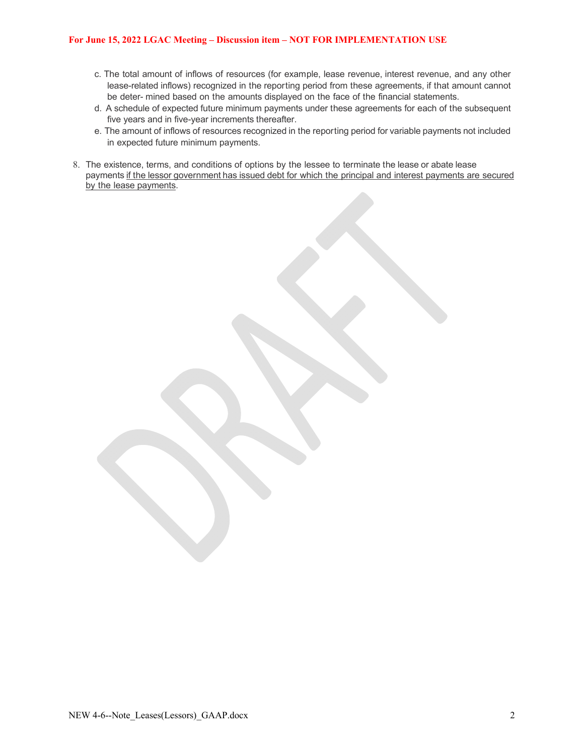- c. The total amount of inflows of resources (for example, lease revenue, interest revenue, and any other lease-related inflows) recognized in the reporting period from these agreements, if that amount cannot be deter- mined based on the amounts displayed on the face of the financial statements.
- d. A schedule of expected future minimum payments under these agreements for each of the subsequent five years and in five-year increments thereafter.
- e. The amount of inflows of resources recognized in the reporting period for variable payments not included in expected future minimum payments.
- 8. The existence, terms, and conditions of options by the lessee to terminate the lease or abate lease payments if the lessor government has issued debt for which the principal and interest payments are secured by the lease payments.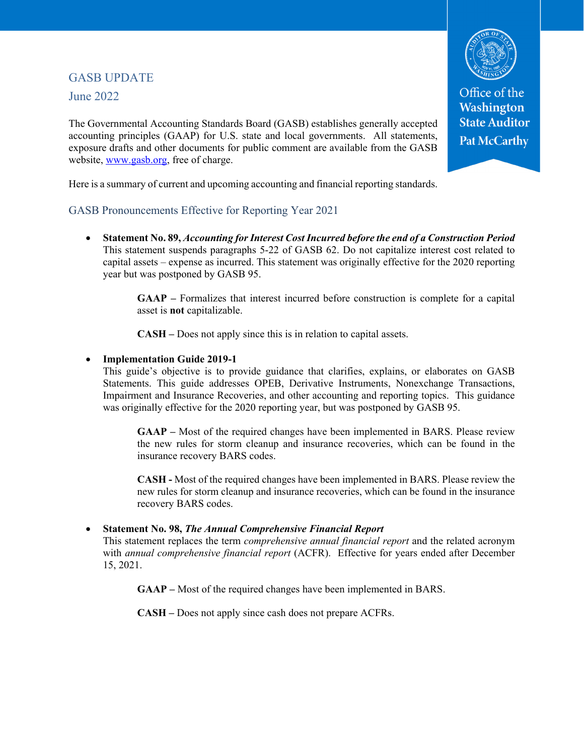# GASB UPDATE June 2022

The Governmental Accounting Standards Board (GASB) establishes generally accepted accounting principles (GAAP) for U.S. state and local governments. All statements, exposure drafts and other documents for public comment are available from the GASB website, www.gasb.org, free of charge.

Here is a summary of current and upcoming accounting and financial reporting standards.

### GASB Pronouncements Effective for Reporting Year 2021

 **Statement No. 89,** *Accounting for Interest Cost Incurred before the end of a Construction Period* This statement suspends paragraphs 5-22 of GASB 62. Do not capitalize interest cost related to capital assets – expense as incurred. This statement was originally effective for the 2020 reporting year but was postponed by GASB 95.

> **GAAP –** Formalizes that interest incurred before construction is complete for a capital asset is **not** capitalizable.

**CASH –** Does not apply since this is in relation to capital assets.

#### **Implementation Guide 2019-1**

This guide's objective is to provide guidance that clarifies, explains, or elaborates on GASB Statements. This guide addresses OPEB, Derivative Instruments, Nonexchange Transactions, Impairment and Insurance Recoveries, and other accounting and reporting topics. This guidance was originally effective for the 2020 reporting year, but was postponed by GASB 95.

**GAAP –** Most of the required changes have been implemented in BARS. Please review the new rules for storm cleanup and insurance recoveries, which can be found in the insurance recovery BARS codes.

**CASH -** Most of the required changes have been implemented in BARS. Please review the new rules for storm cleanup and insurance recoveries, which can be found in the insurance recovery BARS codes.

#### **Statement No. 98,** *The Annual Comprehensive Financial Report*

This statement replaces the term *comprehensive annual financial report* and the related acronym with *annual comprehensive financial report* (ACFR). Effective for years ended after December 15, 2021.

**GAAP –** Most of the required changes have been implemented in BARS.

**CASH –** Does not apply since cash does not prepare ACFRs.



Office of the Washington **State Auditor Pat McCarthy**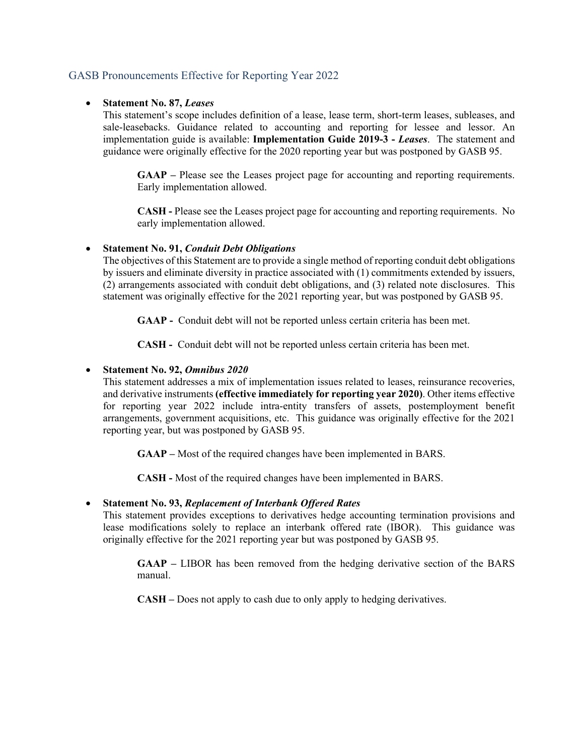### GASB Pronouncements Effective for Reporting Year 2022

#### **Statement No. 87,** *Leases*

This statement's scope includes definition of a lease, lease term, short-term leases, subleases, and sale-leasebacks. Guidance related to accounting and reporting for lessee and lessor. An implementation guide is available: **Implementation Guide 2019-3 -** *Leases*. The statement and guidance were originally effective for the 2020 reporting year but was postponed by GASB 95.

**GAAP –** Please see the Leases project page for accounting and reporting requirements. Early implementation allowed.

**CASH -** Please see the Leases project page for accounting and reporting requirements. No early implementation allowed.

#### **Statement No. 91,** *Conduit Debt Obligations*

The objectives of this Statement are to provide a single method of reporting conduit debt obligations by issuers and eliminate diversity in practice associated with (1) commitments extended by issuers, (2) arrangements associated with conduit debt obligations, and (3) related note disclosures. This statement was originally effective for the 2021 reporting year, but was postponed by GASB 95.

GAAP - Conduit debt will not be reported unless certain criteria has been met.

 **CASH -** Conduit debt will not be reported unless certain criteria has been met.

#### **Statement No. 92,** *Omnibus 2020*

This statement addresses a mix of implementation issues related to leases, reinsurance recoveries, and derivative instruments **(effective immediately for reporting year 2020)**. Other items effective for reporting year 2022 include intra-entity transfers of assets, postemployment benefit arrangements, government acquisitions, etc. This guidance was originally effective for the 2021 reporting year, but was postponed by GASB 95.

**GAAP –** Most of the required changes have been implemented in BARS.

**CASH -** Most of the required changes have been implemented in BARS.

#### **Statement No. 93,** *Replacement of Interbank Offered Rates*

This statement provides exceptions to derivatives hedge accounting termination provisions and lease modifications solely to replace an interbank offered rate (IBOR). This guidance was originally effective for the 2021 reporting year but was postponed by GASB 95.

**GAAP –** LIBOR has been removed from the hedging derivative section of the BARS manual.

**CASH –** Does not apply to cash due to only apply to hedging derivatives.